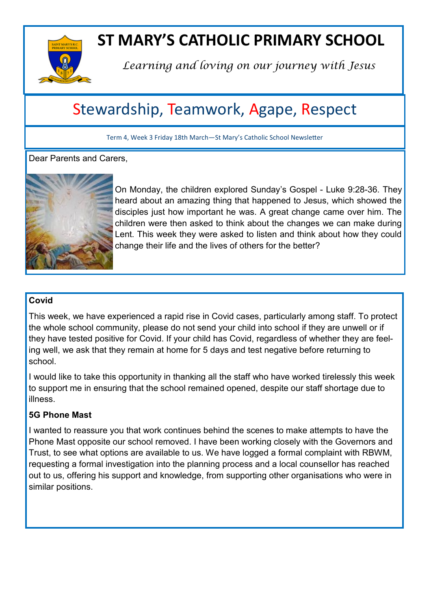

# **ST MARY'S CATHOLIC PRIMARY SCHOOL**

*Learning and loving on our journey with Jesus*

## Stewardship, Teamwork, Agape, Respect

Term 4, Week 3 Friday 18th March—St Mary's Catholic School Newsletter

Dear Parents and Carers.



On Monday, the children explored Sunday's Gospel - Luke 9:28-36. They heard about an amazing thing that happened to Jesus, which showed the disciples just how important he was. A great change came over him. The children were then asked to think about the changes we can make during Lent. This week they were asked to listen and think about how they could change their life and the lives of others for the better?

#### **Covid**

This week, we have experienced a rapid rise in Covid cases, particularly among staff. To protect the whole school community, please do not send your child into school if they are unwell or if they have tested positive for Covid. If your child has Covid, regardless of whether they are feeling well, we ask that they remain at home for 5 days and test negative before returning to school.

I would like to take this opportunity in thanking all the staff who have worked tirelessly this week to support me in ensuring that the school remained opened, despite our staff shortage due to illness.

### **5G Phone Mast**

I wanted to reassure you that work continues behind the scenes to make attempts to have the Phone Mast opposite our school removed. I have been working closely with the Governors and Trust, to see what options are available to us. We have logged a formal complaint with RBWM, requesting a formal investigation into the planning process and a local counsellor has reached out to us, offering his support and knowledge, from supporting other organisations who were in similar positions.